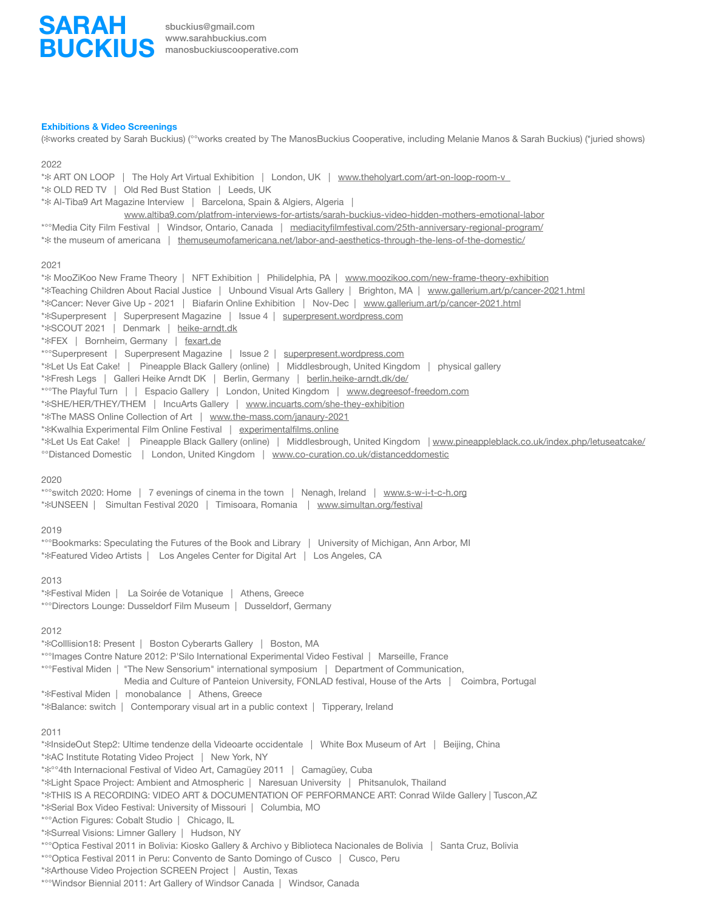

[sbuckius@gmail.com](mailto:sbuckius@gmail.com) [www.sarahbuckius.com](http://www.sarahbuckius.com) manosbuckiuscooperative.com

#### **Exhibitions & Video Screenings**

(✻works created by Sarah Buckius) (°°works created by The ManosBuckius Cooperative, including Melanie Manos & Sarah Buckius) (\*juried shows)

#### 2022

\* $*$  ART ON LOOP | The Holy Art Virtual Exhibition | London, UK | www.theholyart.com/art-on-loop-room-v \*✻ OLD RED TV | Old Red Bust Station | Leeds, UK \*✻ Al-Tiba9 Art Magazine Interview | Barcelona, Spain & Algiers, Algeria | [www.altiba9.com/platfrom-interviews-for-artists/sarah-buckius-video-hidden-mothers-emotional-labor](https://www.altiba9.com/platfrom-interviews-for-artists/sarah-buckius-video-hidden-mothers-emotional-labor) \*°°Media City Film Festival | Windsor, Ontario, Canada | [mediacityfilmfestival.com/25th-anniversary-regional-program/](https://mediacityfilmfestival.com/25th-anniversary-regional-program/) \*✻ the museum of americana | [themuseumofamericana.net/labor-and-aesthetics-through-the-lens-of-the-domestic/](http://themuseumofamericana.net/labor-and-aesthetics-through-the-lens-of-the-domestic/) 2021 \*✻ MooZiKoo New Frame Theory | NFT Exhibition | Philidelphia, PA | www.moozikoo.com/new-frame-theory-exhibition \*✻Teaching Children About Racial Justice | Unbound Visual Arts Gallery | Brighton, MA | www.gallerium.art/p/cancer-2021.html \*✻Cancer: Never Give Up - 2021 | Biafarin Online Exhibition | Nov-Dec | www.gallerium.art/p/cancer-2021.html \*✻Superpresent | Superpresent Magazine | Issue 4 | superpresent.wordpress.com \*✻SCOUT 2021 | Denmark | heike-arndt.dk \*\*FEX | Bornheim, Germany | fexart.de \*°°Superpresent | Superpresent Magazine | Issue 2 | superpresent.wordpress.com \*✻Let Us Eat Cake! | Pineapple Black Gallery (online) | Middlesbrough, United Kingdom | physical gallery \*✻Fresh Legs | [Galleri Heike Arndt DK](https://berlin.heike-arndt.dk/de/) | Berlin, Germany | berlin.heike-arndt.dk/de/ \*\*\*The Playful Turn | | Espacio Gallery | London, United Kingdom | www.degreesof-freedom.com \*✻SHE/HER/THEY/THEM | IncuArts Gallery | [www.incuarts.com/she-they-exhibition](http://www.incuarts.com/she-they-exhibition) \*✻The MASS Online Collection of Art | www.the-mass.com/janaury-2021 \*✻Kwalhia Experimental Film Online Festival | experimentalfilms.online \*\*Let Us Eat Cake! | Pineapple Black Gallery (online) | Middlesbrough, United Kingdom | [www.pineappleblack.co.uk/index.php/letuseatcake/](https://www.pineappleblack.co.uk/index.php/letuseatcake/) °°Distanced Domestic | London, United Kingdom | [www.co-curation.co.uk/distanceddomestic](http://www.co-curation.co.uk/distanceddomestic) 2020 \*<sup>oo</sup>switch 2020: Home | 7 evenings of cinema in the town | Nenagh, Ireland | www.s-w-i-t-c-h.org \*✻UNSEEN | Simultan Festival 2020 | Timisoara, Romania | www.simultan.org/festival 2019 \*°°Bookmarks: Speculating the Futures of the Book and Library | University of Michigan, Ann Arbor, MI \*✻Featured Video Artists | Los Angeles Center for Digital Art | Los Angeles, CA 2013 \*✻Festival Miden | La Soirée de Votanique | Athens, Greece \*°°Directors Lounge: Dusseldorf Film Museum | Dusseldorf, Germany 2012 \*✻Colllision18: Present | Boston Cyberarts Gallery | Boston, MA

\*°°Images Contre Nature 2012: P'Silo International Experimental Video Festival | Marseille, France

\*°°Festival Miden | "The New Sensorium" international symposium | Department of Communication,

 Media and Culture of Panteion University, FONLAD festival, House of the Arts | Coimbra, Portugal \*✻Festival Miden | monobalance | Athens, Greece \*✻Balance: switch | Contemporary visual art in a public context | Tipperary, Ireland

## 2011

\*✻InsideOut Step2: Ultime tendenze della Videoarte occidentale | White Box Museum of Art | Beijing, China \*✻AC Institute Rotating Video Project | New York, NY \*✻°°4th Internacional Festival of Video Art, Camagüey 2011 | Camagüey, Cuba \*✻Light Space Project: Ambient and Atmospheric | Naresuan University | Phitsanulok, Thailand \*✻THIS IS A RECORDING: VIDEO ART & DOCUMENTATION OF PERFORMANCE ART: Conrad Wilde Gallery | Tuscon,AZ \*✻Serial Box Video Festival: University of Missouri | Columbia, MO \*°°Action Figures: Cobalt Studio | Chicago, IL \*✻Surreal Visions: Limner Gallery | Hudson, NY \*°°Optica Festival 2011 in Bolivia: Kiosko Gallery & Archivo y Biblioteca Nacionales de Bolivia | Santa Cruz, Bolivia \*°°Optica Festival 2011 in Peru: Convento de Santo Domingo of Cusco | Cusco, Peru \*✻Arthouse Video Projection SCREEN Project | Austin, Texas

\*°°Windsor Biennial 2011: Art Gallery of Windsor Canada | Windsor, Canada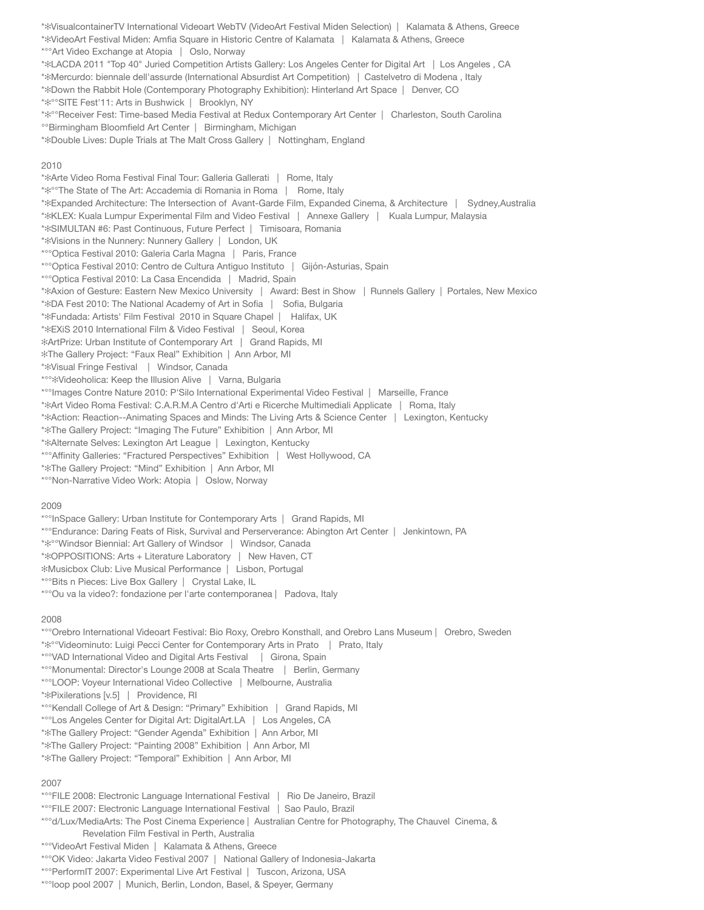\*✻VisualcontainerTV International Videoart WebTV (VideoArt Festival Miden Selection) | Kalamata & Athens, Greece \*✻VideoArt Festival Miden: Amfia Square in Historic Centre of Kalamata | Kalamata & Athens, Greece \*°°Art Video Exchange at Atopia | Oslo, Norway \*✻LACDA 2011 "Top 40" Juried Competition Artists Gallery: Los Angeles Center for Digital Art | Los Angeles , CA \*✻Mercurdo: biennale dell'assurde (International Absurdist Art Competition) | Castelvetro di Modena , Italy \*✻Down the Rabbit Hole (Contemporary Photography Exhibition): Hinterland Art Space | Denver, CO \*✻°°SITE Fest'11: Arts in Bushwick | Brooklyn, NY \*✻°°Receiver Fest: Time-based Media Festival at Redux Contemporary Art Center | Charleston, South Carolina °°Birmingham Bloomfield Art Center | Birmingham, Michigan \*✻Double Lives: Duple Trials at The Malt Cross Gallery | Nottingham, England 2010 \*✻Arte Video Roma Festival Final Tour: Galleria Gallerati | Rome, Italy \*✻°°The State of The Art: Accademia di Romania in Roma | Rome, Italy \*✻Expanded Architecture: The Intersection of Avant-Garde Film, Expanded Cinema, & Architecture | Sydney,Australia \*✻KLEX: Kuala Lumpur Experimental Film and Video Festival | Annexe Gallery | Kuala Lumpur, Malaysia \*✻SIMULTAN #6: Past Continuous, Future Perfect | Timisoara, Romania \*✻Visions in the Nunnery: Nunnery Gallery | London, UK \*°°Optica Festival 2010: Galeria Carla Magna | Paris, France \*°°Optica Festival 2010: Centro de Cultura Antiguo Instituto | Gijón-Asturias, Spain \*°°Optica Festival 2010: La Casa Encendida | Madrid, Spain \*✻Axion of Gesture: Eastern New Mexico University | Award: Best in Show | Runnels Gallery | Portales, New Mexico \*✻DA Fest 2010: The National Academy of Art in Sofia | Sofia, Bulgaria \*✻Fundada: Artists' Film Festival 2010 in Square Chapel | Halifax, UK \*✻EXiS 2010 International Film & Video Festival | Seoul, Korea ✻ArtPrize: Urban Institute of Contemporary Art | Grand Rapids, MI ✻The Gallery Project: "Faux Real" Exhibition | Ann Arbor, MI \*✻Visual Fringe Festival | Windsor, Canada \*°°✻Videoholica: Keep the Illusion Alive | Varna, Bulgaria \*°°Images Contre Nature 2010: P'Silo International Experimental Video Festival | Marseille, France \*✻Art Video Roma Festival: C.A.R.M.A Centro d'Arti e Ricerche Multimediali Applicate | Roma, Italy \*✻Action: Reaction--Animating Spaces and Minds: The Living Arts & Science Center | Lexington, Kentucky \*✻The Gallery Project: "Imaging The Future" Exhibition | Ann Arbor, MI \*✻Alternate Selves: Lexington Art League | Lexington, Kentucky \*°°Affinity Galleries: "Fractured Perspectives" Exhibition | West Hollywood, CA \*✻The Gallery Project: "Mind" Exhibition | Ann Arbor, MI \*°°Non-Narrative Video Work: Atopia | Oslow, Norway 2009 \*°°InSpace Gallery: Urban Institute for Contemporary Arts | Grand Rapids, MI \*°°Endurance: Daring Feats of Risk, Survival and Perserverance: Abington Art Center | Jenkintown, PA \*✻°°Windsor Biennial: Art Gallery of Windsor | Windsor, Canada \*✻OPPOSITIONS: Arts + Literature Laboratory | New Haven, CT ✻Musicbox Club: Live Musical Performance | Lisbon, Portugal \*°°Bits n Pieces: Live Box Gallery | Crystal Lake, IL \*°°Ou va la video?: fondazione per l'arte contemporanea | Padova, Italy 2008 \*°°Orebro International Videoart Festival: Bio Roxy, Orebro Konsthall, and Orebro Lans Museum | Orebro, Sweden \*✻°°Videominuto: Luigi Pecci Center for Contemporary Arts in Prato | Prato, Italy \*°°VAD International Video and Digital Arts Festival | Girona, Spain \*°°Monumental: Director's Lounge 2008 at Scala Theatre | Berlin, Germany \*°°LOOP: Voyeur International Video Collective | Melbourne, Australia \*✻Pixilerations [v.5] | Providence, RI \*°°Kendall College of Art & Design: "Primary" Exhibition | Grand Rapids, MI \*°°Los Angeles Center for Digital Art: DigitalArt.LA | Los Angeles, CA \*✻The Gallery Project: "Gender Agenda" Exhibition | Ann Arbor, MI \*✻The Gallery Project: "Painting 2008" Exhibition | Ann Arbor, MI \*✻The Gallery Project: "Temporal" Exhibition | Ann Arbor, MI 2007 \*°°FILE 2008: Electronic Language International Festival | Rio De Janeiro, Brazil \*°°FILE 2007: Electronic Language International Festival | Sao Paulo, Brazil \*°°d/Lux/MediaArts: The Post Cinema Experience | Australian Centre for Photography, The Chauvel Cinema, & Revelation Film Festival in Perth, Australia

- \*°°VideoArt Festival Miden | Kalamata & Athens, Greece
- \*°°OK Video: Jakarta Video Festival 2007 | National Gallery of Indonesia-Jakarta
- \*°°PerformIT 2007: Experimental Live Art Festival | Tuscon, Arizona, USA
- \*°°loop pool 2007 | Munich, Berlin, London, Basel, & Speyer, Germany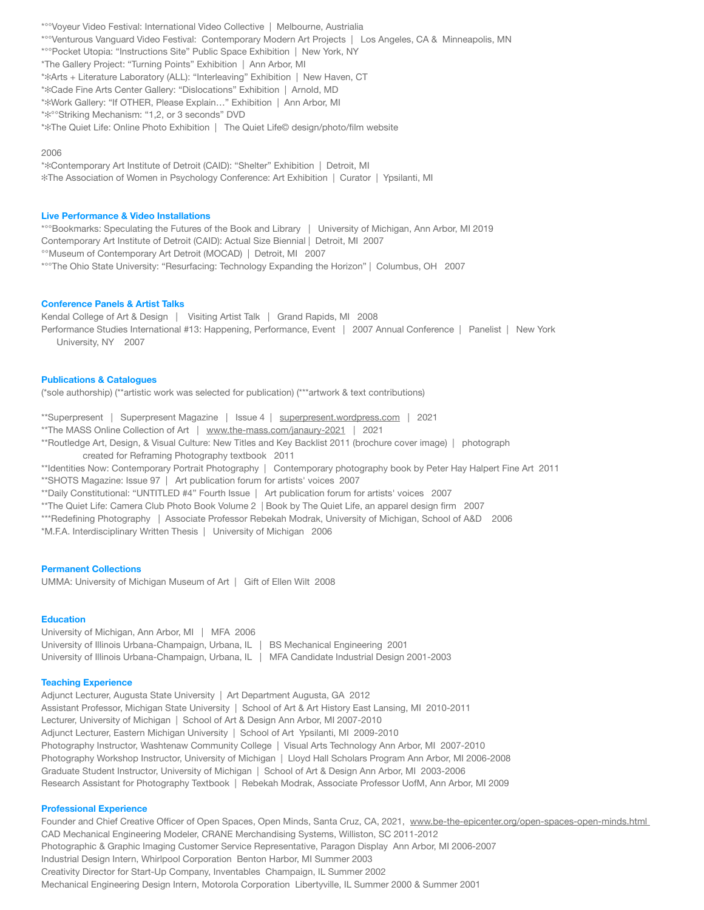\*°°Voyeur Video Festival: International Video Collective | Melbourne, Austrialia \*°°Venturous Vanguard Video Festival: Contemporary Modern Art Projects | Los Angeles, CA & Minneapolis, MN \*°°Pocket Utopia: "Instructions Site" Public Space Exhibition | New York, NY \*The Gallery Project: "Turning Points" Exhibition | Ann Arbor, MI \*✻Arts + Literature Laboratory (ALL): "Interleaving" Exhibition | New Haven, CT \*✻Cade Fine Arts Center Gallery: "Dislocations" Exhibition | Arnold, MD \*✻Work Gallery: "If OTHER, Please Explain…" Exhibition | Ann Arbor, MI \*✻°°Striking Mechanism: "1,2, or 3 seconds" DVD \*✻The Quiet Life: Online Photo Exhibition | The Quiet Life© design/photo/film website

## 2006

\*✻Contemporary Art Institute of Detroit (CAID): "Shelter" Exhibition | Detroit, MI ✻The Association of Women in Psychology Conference: Art Exhibition | Curator | Ypsilanti, MI

### **Live Performance & Video Installations**

\*°°Bookmarks: Speculating the Futures of the Book and Library | University of Michigan, Ann Arbor, MI 2019 Contemporary Art Institute of Detroit (CAID): Actual Size Biennial | Detroit, MI 2007 °°Museum of Contemporary Art Detroit (MOCAD) | Detroit, MI 2007 \*°°The Ohio State University: "Resurfacing: Technology Expanding the Horizon" | Columbus, OH 2007

# **Conference Panels & Artist Talks**

Kendal College of Art & Design | Visiting Artist Talk | Grand Rapids, MI 2008 Performance Studies International #13: Happening, Performance, Event | 2007 Annual Conference | Panelist | New York University, NY 2007

## **Publications & Catalogues**

(\*sole authorship) (\*\*artistic work was selected for publication) (\*\*\*artwork & text contributions)

\*\*Superpresent | Superpresent Magazine | Issue 4 | superpresent.wordpress.com | 2021

\*\*The MASS Online Collection of Art | www.the-mass.com/janaury-2021 | 2021

- \*\*Routledge Art, Design, & Visual Culture: New Titles and Key Backlist 2011 (brochure cover image) | photograph created for Reframing Photography textbook 2011
- \*\*Identities Now: Contemporary Portrait Photography | Contemporary photography book by Peter Hay Halpert Fine Art 2011 \*\*SHOTS Magazine: Issue 97 | Art publication forum for artists' voices 2007
- \*\*Daily Constitutional: "UNTITLED #4" Fourth Issue | Art publication forum for artists' voices 2007
- \*\*The Quiet Life: Camera Club Photo Book Volume 2 | Book by The Quiet Life, an apparel design firm 2007
- \*\*\*Redefining Photography | Associate Professor Rebekah Modrak, University of Michigan, School of A&D 2006

\*M.F.A. Interdisciplinary Written Thesis | University of Michigan 2006

## **Permanent Collections**

UMMA: University of Michigan Museum of Art | Gift of Ellen Wilt 2008

### **Education**

University of Michigan, Ann Arbor, MI | MFA 2006 University of Illinois Urbana-Champaign, Urbana, IL | BS Mechanical Engineering 2001 University of Illinois Urbana-Champaign, Urbana, IL | MFA Candidate Industrial Design 2001-2003

### **Teaching Experience**

Adjunct Lecturer, Augusta State University | Art Department Augusta, GA 2012 Assistant Professor, Michigan State University | School of Art & Art History East Lansing, MI 2010-2011 Lecturer, University of Michigan | School of Art & Design Ann Arbor, MI 2007-2010 Adjunct Lecturer, Eastern Michigan University | School of Art Ypsilanti, MI 2009-2010 Photography Instructor, Washtenaw Community College | Visual Arts Technology Ann Arbor, MI 2007-2010 Photography Workshop Instructor, University of Michigan | Lloyd Hall Scholars Program Ann Arbor, MI 2006-2008 Graduate Student Instructor, University of Michigan | School of Art & Design Ann Arbor, MI 2003-2006 Research Assistant for Photography Textbook | Rebekah Modrak, Associate Professor UofM, Ann Arbor, MI 2009

#### **Professional Experience**

Founder and Chief Creative Officer of Open Spaces, Open Minds, Santa Cruz, CA, 2021, www.be-the-epicenter.org/open-spaces-open-minds.html CAD Mechanical Engineering Modeler, CRANE Merchandising Systems, Williston, SC 2011-2012 Photographic & Graphic Imaging Customer Service Representative, Paragon Display Ann Arbor, MI 2006-2007 Industrial Design Intern, Whirlpool Corporation Benton Harbor, MI Summer 2003 Creativity Director for Start-Up Company, Inventables Champaign, IL Summer 2002 Mechanical Engineering Design Intern, Motorola Corporation Libertyville, IL Summer 2000 & Summer 2001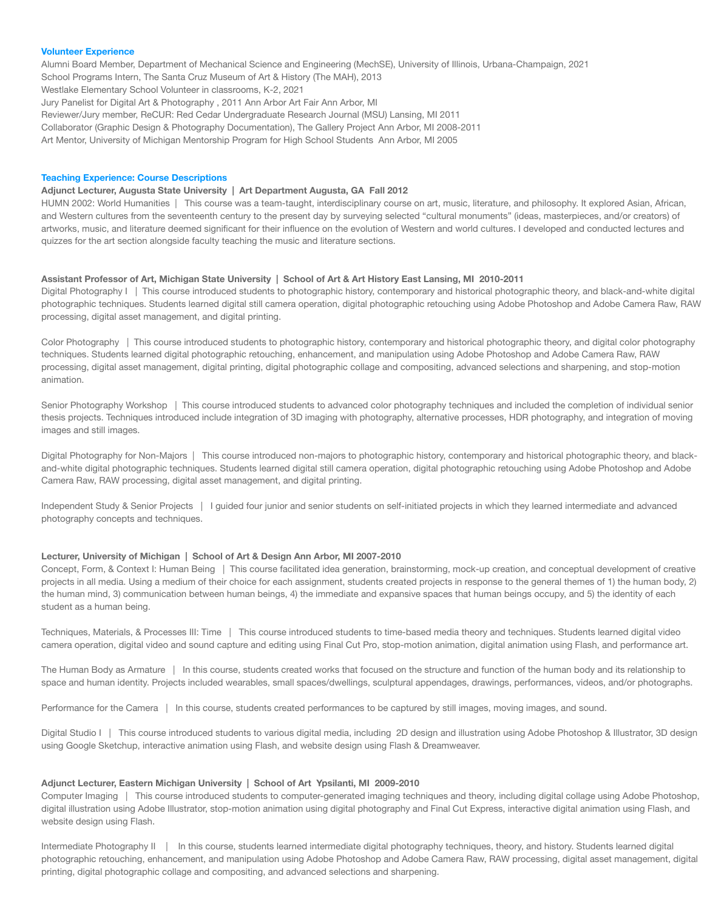#### **Volunteer Experience**

Alumni Board Member, Department of Mechanical Science and Engineering (MechSE), University of Illinois, Urbana-Champaign, 2021 School Programs Intern, The Santa Cruz Museum of Art & History (The MAH), 2013 Westlake Elementary School Volunteer in classrooms, K-2, 2021 Jury Panelist for Digital Art & Photography , 2011 Ann Arbor Art Fair Ann Arbor, MI Reviewer/Jury member, ReCUR: Red Cedar Undergraduate Research Journal (MSU) Lansing, MI 2011 Collaborator (Graphic Design & Photography Documentation), The Gallery Project Ann Arbor, MI 2008-2011

Art Mentor, University of Michigan Mentorship Program for High School Students Ann Arbor, MI 2005

## **Teaching Experience: Course Descriptions**

### **Adjunct Lecturer, Augusta State University | Art Department Augusta, GA Fall 2012**

HUMN 2002: World Humanities | This course was a team-taught, interdisciplinary course on art, music, literature, and philosophy. It explored Asian, African, and Western cultures from the seventeenth century to the present day by surveying selected "cultural monuments" (ideas, masterpieces, and/or creators) of artworks, music, and literature deemed significant for their influence on the evolution of Western and world cultures. I developed and conducted lectures and quizzes for the art section alongside faculty teaching the music and literature sections.

#### **Assistant Professor of Art, Michigan State University | School of Art & Art History East Lansing, MI 2010-2011**

Digital Photography I | This course introduced students to photographic history, contemporary and historical photographic theory, and black-and-white digital photographic techniques. Students learned digital still camera operation, digital photographic retouching using Adobe Photoshop and Adobe Camera Raw, RAW processing, digital asset management, and digital printing.

Color Photography | This course introduced students to photographic history, contemporary and historical photographic theory, and digital color photography techniques. Students learned digital photographic retouching, enhancement, and manipulation using Adobe Photoshop and Adobe Camera Raw, RAW processing, digital asset management, digital printing, digital photographic collage and compositing, advanced selections and sharpening, and stop-motion animation.

Senior Photography Workshop | This course introduced students to advanced color photography techniques and included the completion of individual senior thesis projects. Techniques introduced include integration of 3D imaging with photography, alternative processes, HDR photography, and integration of moving images and still images.

Digital Photography for Non-Majors | This course introduced non-majors to photographic history, contemporary and historical photographic theory, and blackand-white digital photographic techniques. Students learned digital still camera operation, digital photographic retouching using Adobe Photoshop and Adobe Camera Raw, RAW processing, digital asset management, and digital printing.

Independent Study & Senior Projects | I guided four junior and senior students on self-initiated projects in which they learned intermediate and advanced photography concepts and techniques.

#### **Lecturer, University of Michigan | School of Art & Design Ann Arbor, MI 2007-2010**

Concept, Form, & Context I: Human Being | This course facilitated idea generation, brainstorming, mock-up creation, and conceptual development of creative projects in all media. Using a medium of their choice for each assignment, students created projects in response to the general themes of 1) the human body, 2) the human mind, 3) communication between human beings, 4) the immediate and expansive spaces that human beings occupy, and 5) the identity of each student as a human being.

Techniques, Materials, & Processes III: Time | This course introduced students to time-based media theory and techniques. Students learned digital video camera operation, digital video and sound capture and editing using Final Cut Pro, stop-motion animation, digital animation using Flash, and performance art.

The Human Body as Armature | In this course, students created works that focused on the structure and function of the human body and its relationship to space and human identity. Projects included wearables, small spaces/dwellings, sculptural appendages, drawings, performances, videos, and/or photographs.

Performance for the Camera | In this course, students created performances to be captured by still images, moving images, and sound.

Digital Studio I | This course introduced students to various digital media, including 2D design and illustration using Adobe Photoshop & Illustrator, 3D design using Google Sketchup, interactive animation using Flash, and website design using Flash & Dreamweaver.

## **Adjunct Lecturer, Eastern Michigan University | School of Art Ypsilanti, MI 2009-2010**

Computer Imaging | This course introduced students to computer-generated imaging techniques and theory, including digital collage using Adobe Photoshop, digital illustration using Adobe Illustrator, stop-motion animation using digital photography and Final Cut Express, interactive digital animation using Flash, and website design using Flash.

Intermediate Photography II | In this course, students learned intermediate digital photography techniques, theory, and history. Students learned digital photographic retouching, enhancement, and manipulation using Adobe Photoshop and Adobe Camera Raw, RAW processing, digital asset management, digital printing, digital photographic collage and compositing, and advanced selections and sharpening.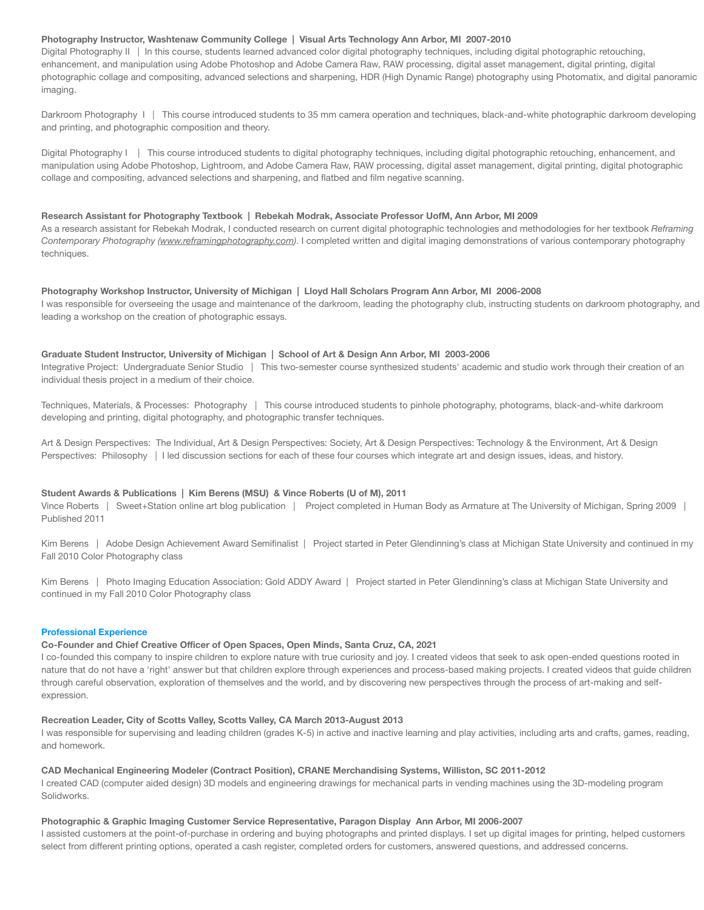# **Photography Instructor, Washtenaw Community College | Visual Arts Technology Ann Arbor, MI 2007-2010**

Digital Photography II | In this course, students learned advanced color digital photography techniques, including digital photographic retouching, enhancement, and manipulation using Adobe Photoshop and Adobe Camera Raw, RAW processing, digital asset management, digital printing, digital photographic collage and compositing, advanced selections and sharpening, HDR (High Dynamic Range) photography using Photomatix, and digital panoramic imaging.

Darkroom Photography I | This course introduced students to 35 mm camera operation and techniques, black-and-white photographic darkroom developing and printing, and photographic composition and theory.

Digital Photography I | This course introduced students to digital photography techniques, including digital photographic retouching, enhancement, and manipulation using Adobe Photoshop, Lightroom, and Adobe Camera Raw, RAW processing, digital asset management, digital printing, digital photographic collage and compositing, advanced selections and sharpening, and flatbed and film negative scanning.

### **Research Assistant for Photography Textbook | Rebekah Modrak, Associate Professor UofM, Ann Arbor, MI 2009**

As a research assistant for Rebekah Modrak, I conducted research on current digital photographic technologies and methodologies for her textbook *Reframing Contemporary Photography (www.reframingphotography.com)*. I completed written and digital imaging demonstrations of various contemporary photography techniques.

## **Photography Workshop Instructor, University of Michigan | Lloyd Hall Scholars Program Ann Arbor, MI 2006-2008**

I was responsible for overseeing the usage and maintenance of the darkroom, leading the photography club, instructing students on darkroom photography, and leading a workshop on the creation of photographic essays.

## **Graduate Student Instructor, University of Michigan | School of Art & Design Ann Arbor, MI 2003-2006**

Integrative Project: Undergraduate Senior Studio | This two-semester course synthesized students' academic and studio work through their creation of an individual thesis project in a medium of their choice.

Techniques, Materials, & Processes: Photography | This course introduced students to pinhole photography, photograms, black-and-white darkroom developing and printing, digital photography, and photographic transfer techniques.

Art & Design Perspectives: The Individual, Art & Design Perspectives: Society, Art & Design Perspectives: Technology & the Environment, Art & Design Perspectives: Philosophy | I led discussion sections for each of these four courses which integrate art and design issues, ideas, and history.

# **Student Awards & Publications | Kim Berens (MSU) & Vince Roberts (U of M), 2011**

Vince Roberts | Sweet+Station online art blog publication | Project completed in Human Body as Armature at The University of Michigan, Spring 2009 | Published 2011

Kim Berens | Adobe Design Achievement Award Semifinalist | Project started in Peter Glendinning's class at Michigan State University and continued in my Fall 2010 Color Photography class

Kim Berens | Photo Imaging Education Association: Gold ADDY Award | Project started in Peter Glendinning's class at Michigan State University and continued in my Fall 2010 Color Photography class

#### **Professional Experience**

# **Co-Founder and Chief Creative Officer of Open Spaces, Open Minds, Santa Cruz, CA, 2021**

I co-founded this company to inspire children to explore nature with true curiosity and joy. I created videos that seek to ask open-ended questions rooted in nature that do not have a 'right' answer but that children explore through experiences and process-based making projects. I created videos that guide children through careful observation, exploration of themselves and the world, and by discovering new perspectives through the process of art-making and selfexpression.

### **Recreation Leader, City of Scotts Valley, Scotts Valley, CA March 2013-August 2013**

I was responsible for supervising and leading children (grades K-5) in active and inactive learning and play activities, including arts and crafts, games, reading, and homework.

#### **CAD Mechanical Engineering Modeler (Contract Position), CRANE Merchandising Systems, Williston, SC 2011-2012**

I created CAD (computer aided design) 3D models and engineering drawings for mechanical parts in vending machines using the 3D-modeling program Solidworks.

# **Photographic & Graphic Imaging Customer Service Representative, Paragon Display Ann Arbor, MI 2006-2007**

I assisted customers at the point-of-purchase in ordering and buying photographs and printed displays. I set up digital images for printing, helped customers select from different printing options, operated a cash register, completed orders for customers, answered questions, and addressed concerns.